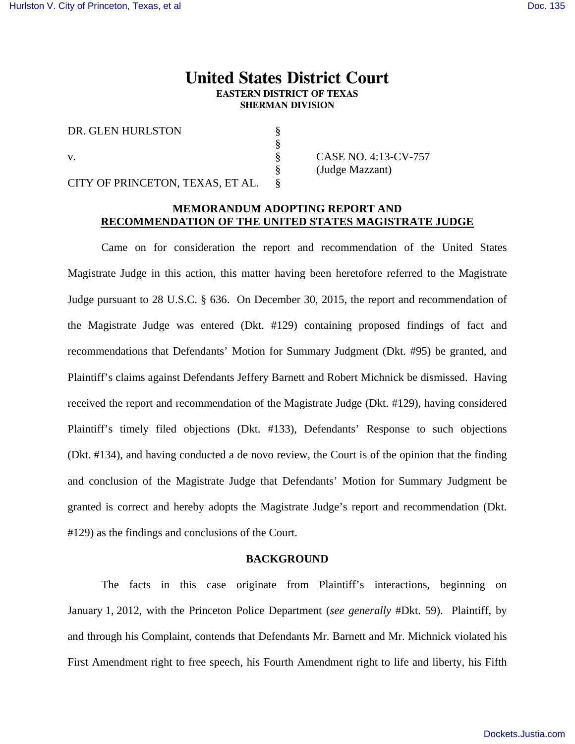# **United States District Court EASTERN DISTRICT OF TEXAS SHERMAN DIVISION**

§ § § § §

DR. GLEN HURLSTON

v.

CITY OF PRINCETON, TEXAS, ET AL.

CASE NO. 4:13-CV-757 (Judge Mazzant)

## **MEMORANDUM ADOPTING REPORT AND RECOMMENDATION OF THE UNITED STATES MAGISTRATE JUDGE**

 Came on for consideration the report and recommendation of the United States Magistrate Judge in this action, this matter having been heretofore referred to the Magistrate Judge pursuant to 28 U.S.C. § 636. On December 30, 2015, the report and recommendation of the Magistrate Judge was entered (Dkt. #129) containing proposed findings of fact and recommendations that Defendants' Motion for Summary Judgment (Dkt. #95) be granted, and Plaintiff's claims against Defendants Jeffery Barnett and Robert Michnick be dismissed. Having received the report and recommendation of the Magistrate Judge (Dkt. #129), having considered Plaintiff's timely filed objections (Dkt. #133), Defendants' Response to such objections (Dkt. #134), and having conducted a de novo review, the Court is of the opinion that the finding and conclusion of the Magistrate Judge that Defendants' Motion for Summary Judgment be granted is correct and hereby adopts the Magistrate Judge's report and recommendation (Dkt. #129) as the findings and conclusions of the Court.

## **BACKGROUND**

 The facts in this case originate from Plaintiff's interactions, beginning on January 1, 2012, with the Princeton Police Department (*see generally* #Dkt. 59). Plaintiff, by and through his Complaint, contends that Defendants Mr. Barnett and Mr. Michnick violated his First Amendment right to free speech, his Fourth Amendment right to life and liberty, his Fifth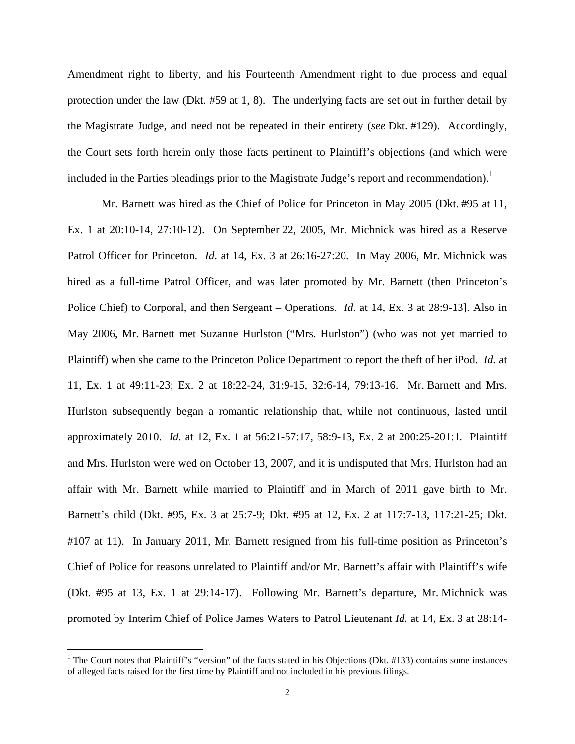Amendment right to liberty, and his Fourteenth Amendment right to due process and equal protection under the law (Dkt. #59 at 1, 8). The underlying facts are set out in further detail by the Magistrate Judge, and need not be repeated in their entirety (*see* Dkt. #129). Accordingly, the Court sets forth herein only those facts pertinent to Plaintiff's objections (and which were included in the Parties pleadings prior to the Magistrate Judge's report and recommendation).<sup>1</sup>

Mr. Barnett was hired as the Chief of Police for Princeton in May 2005 (Dkt. #95 at 11, Ex. 1 at 20:10-14, 27:10-12). On September 22, 2005, Mr. Michnick was hired as a Reserve Patrol Officer for Princeton. *Id*. at 14, Ex. 3 at 26:16-27:20. In May 2006, Mr. Michnick was hired as a full-time Patrol Officer, and was later promoted by Mr. Barnett (then Princeton's Police Chief) to Corporal, and then Sergeant – Operations. *Id*. at 14, Ex. 3 at 28:9-13]. Also in May 2006, Mr. Barnett met Suzanne Hurlston ("Mrs. Hurlston") (who was not yet married to Plaintiff) when she came to the Princeton Police Department to report the theft of her iPod. *Id.* at 11, Ex. 1 at 49:11-23; Ex. 2 at 18:22-24, 31:9-15, 32:6-14, 79:13-16. Mr. Barnett and Mrs. Hurlston subsequently began a romantic relationship that, while not continuous, lasted until approximately 2010. *Id.* at 12, Ex. 1 at 56:21-57:17, 58:9-13, Ex. 2 at 200:25-201:1. Plaintiff and Mrs. Hurlston were wed on October 13, 2007, and it is undisputed that Mrs. Hurlston had an affair with Mr. Barnett while married to Plaintiff and in March of 2011 gave birth to Mr. Barnett's child (Dkt. #95, Ex. 3 at 25:7-9; Dkt. #95 at 12, Ex. 2 at 117:7-13, 117:21-25; Dkt. #107 at 11). In January 2011, Mr. Barnett resigned from his full-time position as Princeton's Chief of Police for reasons unrelated to Plaintiff and/or Mr. Barnett's affair with Plaintiff's wife (Dkt. #95 at 13, Ex. 1 at 29:14-17). Following Mr. Barnett's departure, Mr. Michnick was promoted by Interim Chief of Police James Waters to Patrol Lieutenant *Id.* at 14, Ex. 3 at 28:14-

<sup>&</sup>lt;sup>1</sup> The Court notes that Plaintiff's "version" of the facts stated in his Objections (Dkt. #133) contains some instances of alleged facts raised for the first time by Plaintiff and not included in his previous filings.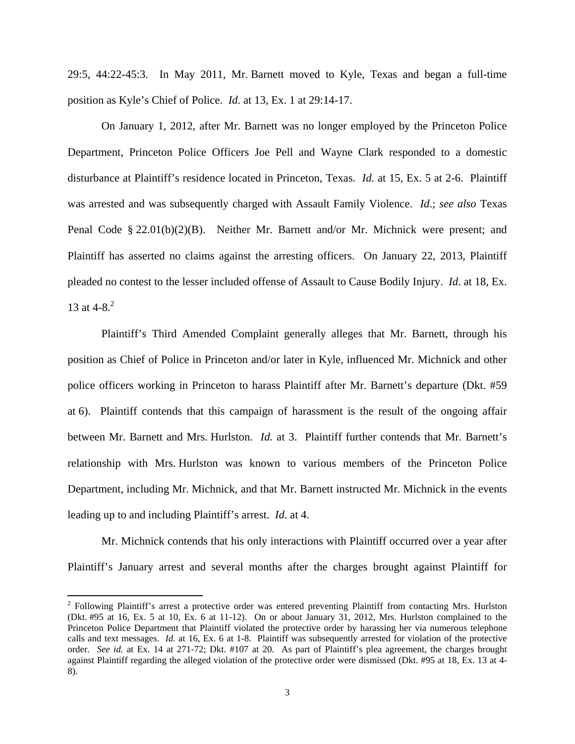29:5, 44:22-45:3. In May 2011, Mr. Barnett moved to Kyle, Texas and began a full-time position as Kyle's Chief of Police. *Id.* at 13, Ex. 1 at 29:14-17.

On January 1, 2012, after Mr. Barnett was no longer employed by the Princeton Police Department, Princeton Police Officers Joe Pell and Wayne Clark responded to a domestic disturbance at Plaintiff's residence located in Princeton, Texas. *Id.* at 15, Ex. 5 at 2-6. Plaintiff was arrested and was subsequently charged with Assault Family Violence. *Id*.; *see also* Texas Penal Code § 22.01(b)(2)(B). Neither Mr. Barnett and/or Mr. Michnick were present; and Plaintiff has asserted no claims against the arresting officers. On January 22, 2013, Plaintiff pleaded no contest to the lesser included offense of Assault to Cause Bodily Injury. *Id*. at 18, Ex. 13 at 4-8.<sup>2</sup>

Plaintiff's Third Amended Complaint generally alleges that Mr. Barnett, through his position as Chief of Police in Princeton and/or later in Kyle, influenced Mr. Michnick and other police officers working in Princeton to harass Plaintiff after Mr. Barnett's departure (Dkt. #59 at 6). Plaintiff contends that this campaign of harassment is the result of the ongoing affair between Mr. Barnett and Mrs. Hurlston. *Id.* at 3. Plaintiff further contends that Mr. Barnett's relationship with Mrs. Hurlston was known to various members of the Princeton Police Department, including Mr. Michnick, and that Mr. Barnett instructed Mr. Michnick in the events leading up to and including Plaintiff's arrest. *Id*. at 4.

Mr. Michnick contends that his only interactions with Plaintiff occurred over a year after Plaintiff's January arrest and several months after the charges brought against Plaintiff for

 $2$  Following Plaintiff's arrest a protective order was entered preventing Plaintiff from contacting Mrs. Hurlston (Dkt. #95 at 16, Ex. 5 at 10, Ex. 6 at 11-12). On or about January 31, 2012, Mrs. Hurlston complained to the Princeton Police Department that Plaintiff violated the protective order by harassing her via numerous telephone calls and text messages. *Id.* at 16, Ex. 6 at 1-8. Plaintiff was subsequently arrested for violation of the protective order. *See id.* at Ex. 14 at 271-72; Dkt. #107 at 20. As part of Plaintiff's plea agreement, the charges brought against Plaintiff regarding the alleged violation of the protective order were dismissed (Dkt. #95 at 18, Ex. 13 at 4- 8).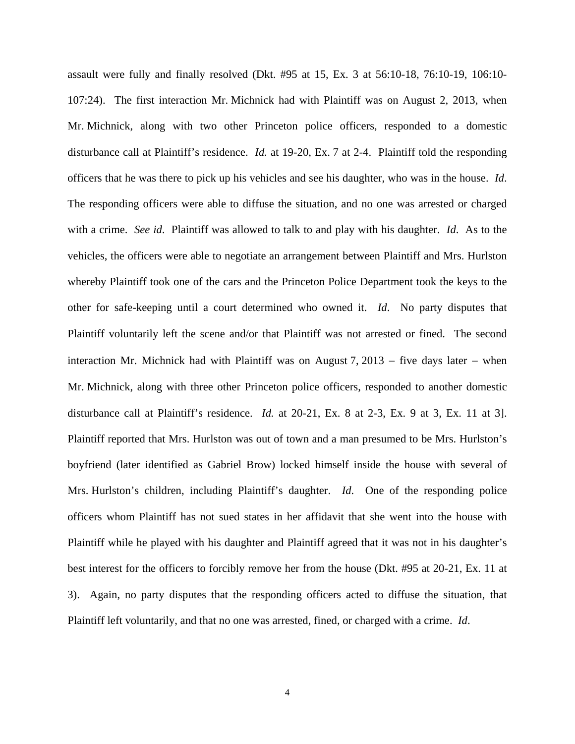assault were fully and finally resolved (Dkt. #95 at 15, Ex. 3 at 56:10-18, 76:10-19, 106:10- 107:24). The first interaction Mr. Michnick had with Plaintiff was on August 2, 2013, when Mr. Michnick, along with two other Princeton police officers, responded to a domestic disturbance call at Plaintiff's residence. *Id.* at 19-20, Ex. 7 at 2-4. Plaintiff told the responding officers that he was there to pick up his vehicles and see his daughter, who was in the house. *Id*. The responding officers were able to diffuse the situation, and no one was arrested or charged with a crime. *See id*. Plaintiff was allowed to talk to and play with his daughter. *Id*. As to the vehicles, the officers were able to negotiate an arrangement between Plaintiff and Mrs. Hurlston whereby Plaintiff took one of the cars and the Princeton Police Department took the keys to the other for safe-keeping until a court determined who owned it. *Id*. No party disputes that Plaintiff voluntarily left the scene and/or that Plaintiff was not arrested or fined. The second interaction Mr. Michnick had with Plaintiff was on August 7,  $2013 -$  five days later  $-$  when Mr. Michnick, along with three other Princeton police officers, responded to another domestic disturbance call at Plaintiff's residence. *Id.* at 20-21, Ex. 8 at 2-3, Ex. 9 at 3, Ex. 11 at 3]. Plaintiff reported that Mrs. Hurlston was out of town and a man presumed to be Mrs. Hurlston's boyfriend (later identified as Gabriel Brow) locked himself inside the house with several of Mrs. Hurlston's children, including Plaintiff's daughter. *Id*. One of the responding police officers whom Plaintiff has not sued states in her affidavit that she went into the house with Plaintiff while he played with his daughter and Plaintiff agreed that it was not in his daughter's best interest for the officers to forcibly remove her from the house (Dkt. #95 at 20-21, Ex. 11 at 3). Again, no party disputes that the responding officers acted to diffuse the situation, that Plaintiff left voluntarily, and that no one was arrested, fined, or charged with a crime. *Id*.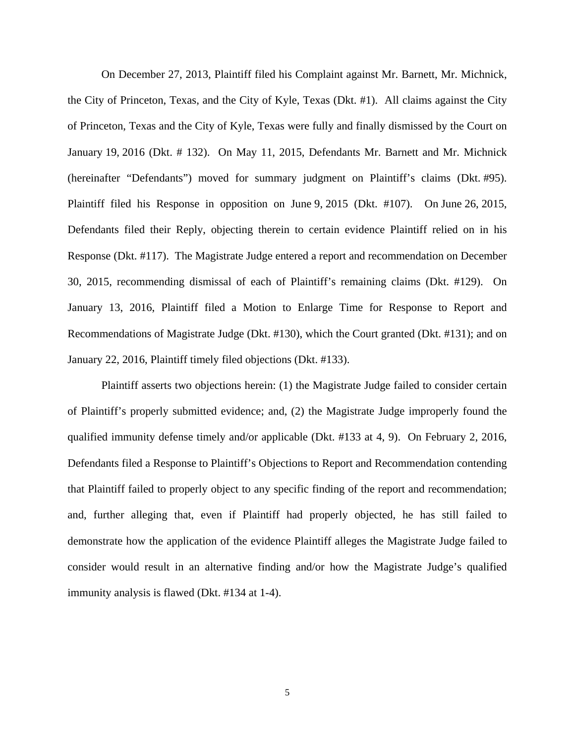On December 27, 2013, Plaintiff filed his Complaint against Mr. Barnett, Mr. Michnick, the City of Princeton, Texas, and the City of Kyle, Texas (Dkt. #1). All claims against the City of Princeton, Texas and the City of Kyle, Texas were fully and finally dismissed by the Court on January 19, 2016 (Dkt. # 132). On May 11, 2015, Defendants Mr. Barnett and Mr. Michnick (hereinafter "Defendants") moved for summary judgment on Plaintiff's claims (Dkt. #95). Plaintiff filed his Response in opposition on June 9, 2015 (Dkt. #107). On June 26, 2015, Defendants filed their Reply, objecting therein to certain evidence Plaintiff relied on in his Response (Dkt. #117). The Magistrate Judge entered a report and recommendation on December 30, 2015, recommending dismissal of each of Plaintiff's remaining claims (Dkt. #129). On January 13, 2016, Plaintiff filed a Motion to Enlarge Time for Response to Report and Recommendations of Magistrate Judge (Dkt. #130), which the Court granted (Dkt. #131); and on January 22, 2016, Plaintiff timely filed objections (Dkt. #133).

Plaintiff asserts two objections herein: (1) the Magistrate Judge failed to consider certain of Plaintiff's properly submitted evidence; and, (2) the Magistrate Judge improperly found the qualified immunity defense timely and/or applicable (Dkt. #133 at 4, 9). On February 2, 2016, Defendants filed a Response to Plaintiff's Objections to Report and Recommendation contending that Plaintiff failed to properly object to any specific finding of the report and recommendation; and, further alleging that, even if Plaintiff had properly objected, he has still failed to demonstrate how the application of the evidence Plaintiff alleges the Magistrate Judge failed to consider would result in an alternative finding and/or how the Magistrate Judge's qualified immunity analysis is flawed (Dkt. #134 at 1-4).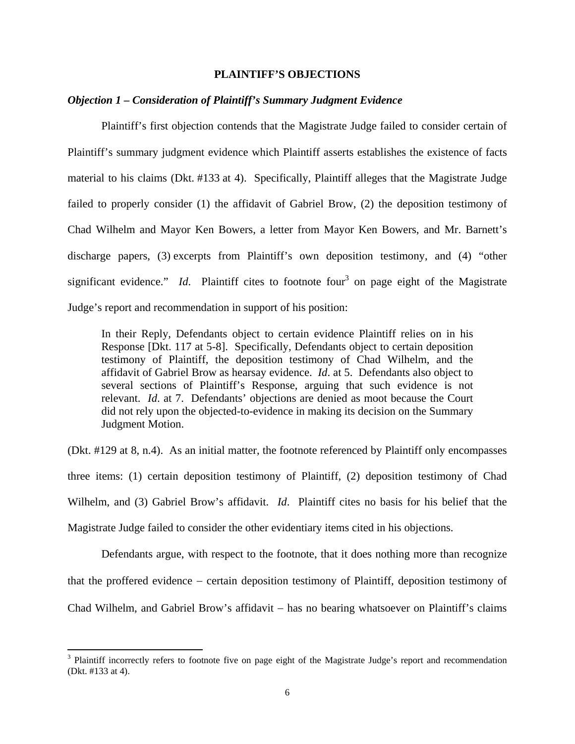### **PLAINTIFF'S OBJECTIONS**

### *Objection 1 – Consideration of Plaintiff's Summary Judgment Evidence*

Plaintiff's first objection contends that the Magistrate Judge failed to consider certain of Plaintiff's summary judgment evidence which Plaintiff asserts establishes the existence of facts material to his claims (Dkt. #133 at 4). Specifically, Plaintiff alleges that the Magistrate Judge failed to properly consider (1) the affidavit of Gabriel Brow, (2) the deposition testimony of Chad Wilhelm and Mayor Ken Bowers, a letter from Mayor Ken Bowers, and Mr. Barnett's discharge papers, (3) excerpts from Plaintiff's own deposition testimony, and (4) "other significant evidence."  $Id$ . Plaintiff cites to footnote four<sup>3</sup> on page eight of the Magistrate Judge's report and recommendation in support of his position:

In their Reply, Defendants object to certain evidence Plaintiff relies on in his Response [Dkt. 117 at 5-8]. Specifically, Defendants object to certain deposition testimony of Plaintiff, the deposition testimony of Chad Wilhelm, and the affidavit of Gabriel Brow as hearsay evidence. *Id*. at 5. Defendants also object to several sections of Plaintiff's Response, arguing that such evidence is not relevant. *Id*. at 7. Defendants' objections are denied as moot because the Court did not rely upon the objected-to-evidence in making its decision on the Summary Judgment Motion.

(Dkt. #129 at 8, n.4). As an initial matter, the footnote referenced by Plaintiff only encompasses three items: (1) certain deposition testimony of Plaintiff, (2) deposition testimony of Chad Wilhelm, and (3) Gabriel Brow's affidavit. *Id*. Plaintiff cites no basis for his belief that the Magistrate Judge failed to consider the other evidentiary items cited in his objections.

Defendants argue, with respect to the footnote, that it does nothing more than recognize that the proffered evidence certain deposition testimony of Plaintiff, deposition testimony of Chad Wilhelm, and Gabriel Brow's affidavit – has no bearing whatsoever on Plaintiff's claims

<sup>&</sup>lt;sup>3</sup> Plaintiff incorrectly refers to footnote five on page eight of the Magistrate Judge's report and recommendation (Dkt. #133 at 4).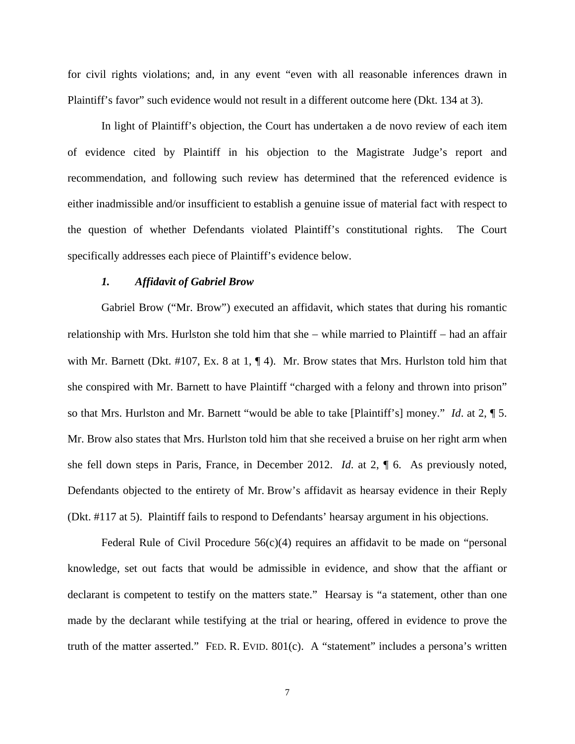for civil rights violations; and, in any event "even with all reasonable inferences drawn in Plaintiff's favor" such evidence would not result in a different outcome here (Dkt. 134 at 3).

In light of Plaintiff's objection, the Court has undertaken a de novo review of each item of evidence cited by Plaintiff in his objection to the Magistrate Judge's report and recommendation, and following such review has determined that the referenced evidence is either inadmissible and/or insufficient to establish a genuine issue of material fact with respect to the question of whether Defendants violated Plaintiff's constitutional rights. The Court specifically addresses each piece of Plaintiff's evidence below.

### *1. Affidavit of Gabriel Brow*

 Gabriel Brow ("Mr. Brow") executed an affidavit, which states that during his romantic relationship with Mrs. Hurlston she told him that she  $-$  while married to Plaintiff  $-$  had an affair with Mr. Barnett (Dkt. #107, Ex. 8 at 1, ¶ 4). Mr. Brow states that Mrs. Hurlston told him that she conspired with Mr. Barnett to have Plaintiff "charged with a felony and thrown into prison" so that Mrs. Hurlston and Mr. Barnett "would be able to take [Plaintiff's] money." *Id*. at 2, ¶ 5. Mr. Brow also states that Mrs. Hurlston told him that she received a bruise on her right arm when she fell down steps in Paris, France, in December 2012. *Id*. at 2, ¶ 6. As previously noted, Defendants objected to the entirety of Mr. Brow's affidavit as hearsay evidence in their Reply (Dkt. #117 at 5). Plaintiff fails to respond to Defendants' hearsay argument in his objections.

Federal Rule of Civil Procedure  $56(c)(4)$  requires an affidavit to be made on "personal" knowledge, set out facts that would be admissible in evidence, and show that the affiant or declarant is competent to testify on the matters state." Hearsay is "a statement, other than one made by the declarant while testifying at the trial or hearing, offered in evidence to prove the truth of the matter asserted." FED. R. EVID. 801(c). A "statement" includes a persona's written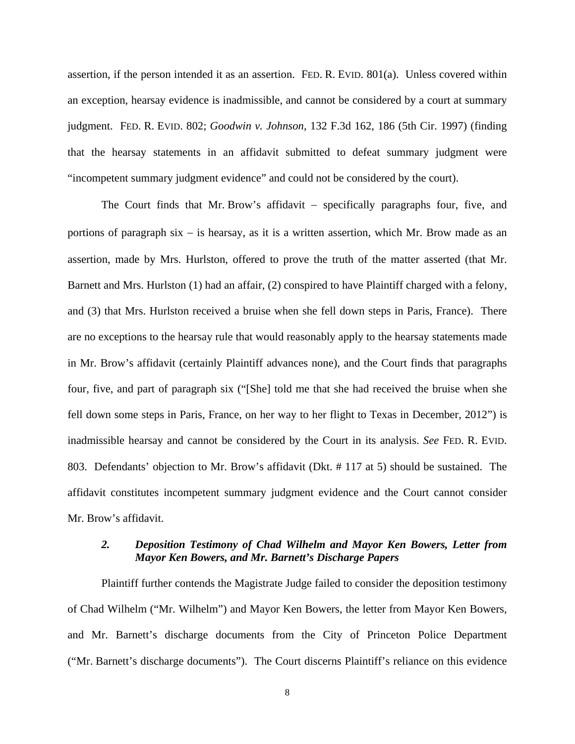assertion, if the person intended it as an assertion. FED. R. EVID. 801(a). Unless covered within an exception, hearsay evidence is inadmissible, and cannot be considered by a court at summary judgment. FED. R. EVID. 802; *Goodwin v. Johnson*, 132 F.3d 162, 186 (5th Cir. 1997) (finding that the hearsay statements in an affidavit submitted to defeat summary judgment were "incompetent summary judgment evidence" and could not be considered by the court).

The Court finds that Mr. Brow's affidavit  $-$  specifically paragraphs four, five, and portions of paragraph six  $-$  is hearsay, as it is a written assertion, which Mr. Brow made as an assertion, made by Mrs. Hurlston, offered to prove the truth of the matter asserted (that Mr. Barnett and Mrs. Hurlston (1) had an affair, (2) conspired to have Plaintiff charged with a felony, and (3) that Mrs. Hurlston received a bruise when she fell down steps in Paris, France). There are no exceptions to the hearsay rule that would reasonably apply to the hearsay statements made in Mr. Brow's affidavit (certainly Plaintiff advances none), and the Court finds that paragraphs four, five, and part of paragraph six ("[She] told me that she had received the bruise when she fell down some steps in Paris, France, on her way to her flight to Texas in December, 2012") is inadmissible hearsay and cannot be considered by the Court in its analysis. *See* FED. R. EVID. 803. Defendants' objection to Mr. Brow's affidavit (Dkt. # 117 at 5) should be sustained. The affidavit constitutes incompetent summary judgment evidence and the Court cannot consider Mr. Brow's affidavit.

## *2. Deposition Testimony of Chad Wilhelm and Mayor Ken Bowers, Letter from Mayor Ken Bowers, and Mr. Barnett's Discharge Papers*

 Plaintiff further contends the Magistrate Judge failed to consider the deposition testimony of Chad Wilhelm ("Mr. Wilhelm") and Mayor Ken Bowers, the letter from Mayor Ken Bowers, and Mr. Barnett's discharge documents from the City of Princeton Police Department ("Mr. Barnett's discharge documents"). The Court discerns Plaintiff's reliance on this evidence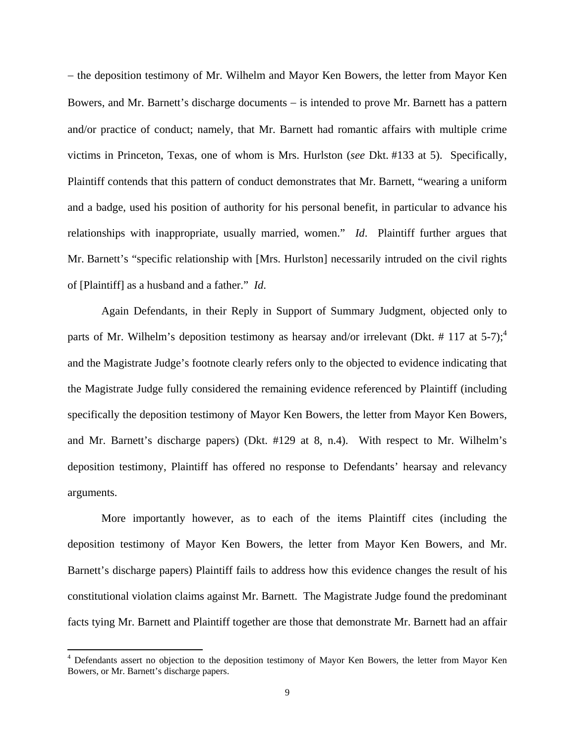– the deposition testimony of Mr. Wilhelm and Mayor Ken Bowers, the letter from Mayor Ken Bowers, and Mr. Barnett's discharge documents – is intended to prove Mr. Barnett has a pattern and/or practice of conduct; namely, that Mr. Barnett had romantic affairs with multiple crime victims in Princeton, Texas, one of whom is Mrs. Hurlston (*see* Dkt. #133 at 5). Specifically, Plaintiff contends that this pattern of conduct demonstrates that Mr. Barnett, "wearing a uniform and a badge, used his position of authority for his personal benefit, in particular to advance his relationships with inappropriate, usually married, women." *Id*. Plaintiff further argues that Mr. Barnett's "specific relationship with [Mrs. Hurlston] necessarily intruded on the civil rights of [Plaintiff] as a husband and a father." *Id*.

 Again Defendants, in their Reply in Support of Summary Judgment, objected only to parts of Mr. Wilhelm's deposition testimony as hearsay and/or irrelevant (Dkt. # 117 at 5-7);<sup>4</sup> and the Magistrate Judge's footnote clearly refers only to the objected to evidence indicating that the Magistrate Judge fully considered the remaining evidence referenced by Plaintiff (including specifically the deposition testimony of Mayor Ken Bowers, the letter from Mayor Ken Bowers, and Mr. Barnett's discharge papers) (Dkt. #129 at 8, n.4). With respect to Mr. Wilhelm's deposition testimony, Plaintiff has offered no response to Defendants' hearsay and relevancy arguments.

 More importantly however, as to each of the items Plaintiff cites (including the deposition testimony of Mayor Ken Bowers, the letter from Mayor Ken Bowers, and Mr. Barnett's discharge papers) Plaintiff fails to address how this evidence changes the result of his constitutional violation claims against Mr. Barnett. The Magistrate Judge found the predominant facts tying Mr. Barnett and Plaintiff together are those that demonstrate Mr. Barnett had an affair

<sup>&</sup>lt;sup>4</sup> Defendants assert no objection to the deposition testimony of Mayor Ken Bowers, the letter from Mayor Ken Bowers, or Mr. Barnett's discharge papers.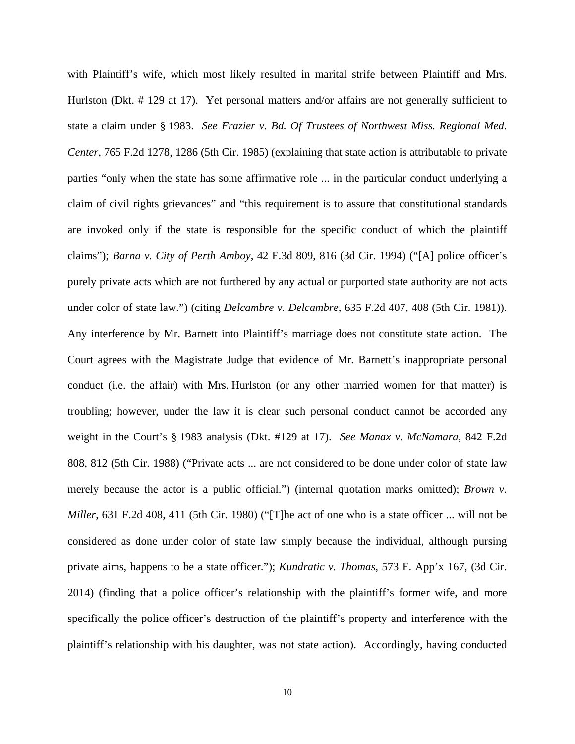with Plaintiff's wife, which most likely resulted in marital strife between Plaintiff and Mrs. Hurlston (Dkt. # 129 at 17). Yet personal matters and/or affairs are not generally sufficient to state a claim under § 1983. *See Frazier v. Bd. Of Trustees of Northwest Miss. Regional Med. Center*, 765 F.2d 1278, 1286 (5th Cir. 1985) (explaining that state action is attributable to private parties "only when the state has some affirmative role ... in the particular conduct underlying a claim of civil rights grievances" and "this requirement is to assure that constitutional standards are invoked only if the state is responsible for the specific conduct of which the plaintiff claims"); *Barna v. City of Perth Amboy*, 42 F.3d 809, 816 (3d Cir. 1994) ("[A] police officer's purely private acts which are not furthered by any actual or purported state authority are not acts under color of state law.") (citing *Delcambre v. Delcambre*, 635 F.2d 407, 408 (5th Cir. 1981)). Any interference by Mr. Barnett into Plaintiff's marriage does not constitute state action. The Court agrees with the Magistrate Judge that evidence of Mr. Barnett's inappropriate personal conduct (i.e. the affair) with Mrs. Hurlston (or any other married women for that matter) is troubling; however, under the law it is clear such personal conduct cannot be accorded any weight in the Court's § 1983 analysis (Dkt. #129 at 17). *See Manax v. McNamara*, 842 F.2d 808, 812 (5th Cir. 1988) ("Private acts ... are not considered to be done under color of state law merely because the actor is a public official.") (internal quotation marks omitted); *Brown v. Miller*, 631 F.2d 408, 411 (5th Cir. 1980) ("[T]he act of one who is a state officer ... will not be considered as done under color of state law simply because the individual, although pursing private aims, happens to be a state officer."); *Kundratic v. Thomas*, 573 F. App'x 167, (3d Cir. 2014) (finding that a police officer's relationship with the plaintiff's former wife, and more specifically the police officer's destruction of the plaintiff's property and interference with the plaintiff's relationship with his daughter, was not state action). Accordingly, having conducted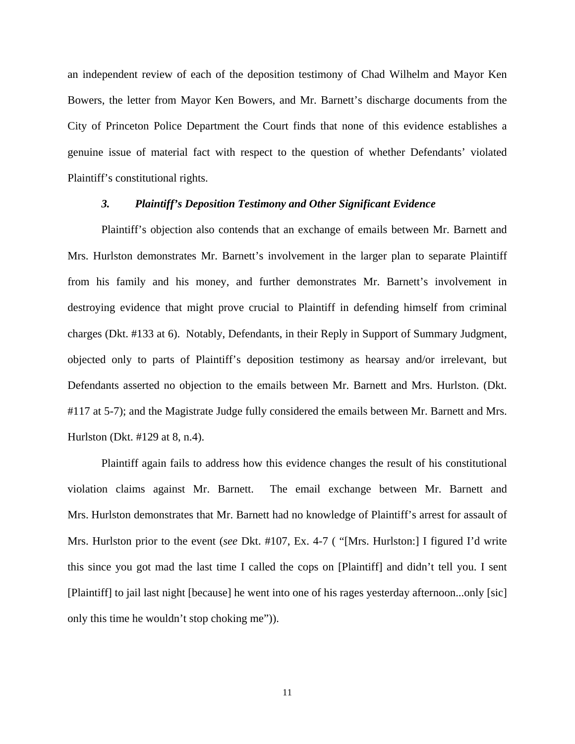an independent review of each of the deposition testimony of Chad Wilhelm and Mayor Ken Bowers, the letter from Mayor Ken Bowers, and Mr. Barnett's discharge documents from the City of Princeton Police Department the Court finds that none of this evidence establishes a genuine issue of material fact with respect to the question of whether Defendants' violated Plaintiff's constitutional rights.

#### *3. Plaintiff's Deposition Testimony and Other Significant Evidence*

 Plaintiff's objection also contends that an exchange of emails between Mr. Barnett and Mrs. Hurlston demonstrates Mr. Barnett's involvement in the larger plan to separate Plaintiff from his family and his money, and further demonstrates Mr. Barnett's involvement in destroying evidence that might prove crucial to Plaintiff in defending himself from criminal charges (Dkt. #133 at 6). Notably, Defendants, in their Reply in Support of Summary Judgment, objected only to parts of Plaintiff's deposition testimony as hearsay and/or irrelevant, but Defendants asserted no objection to the emails between Mr. Barnett and Mrs. Hurlston. (Dkt. #117 at 5-7); and the Magistrate Judge fully considered the emails between Mr. Barnett and Mrs. Hurlston (Dkt. #129 at 8, n.4).

Plaintiff again fails to address how this evidence changes the result of his constitutional violation claims against Mr. Barnett. The email exchange between Mr. Barnett and Mrs. Hurlston demonstrates that Mr. Barnett had no knowledge of Plaintiff's arrest for assault of Mrs. Hurlston prior to the event (*see* Dkt. #107, Ex. 4-7 ( "[Mrs. Hurlston:] I figured I'd write this since you got mad the last time I called the cops on [Plaintiff] and didn't tell you. I sent [Plaintiff] to jail last night [because] he went into one of his rages yesterday afternoon...only [sic] only this time he wouldn't stop choking me")).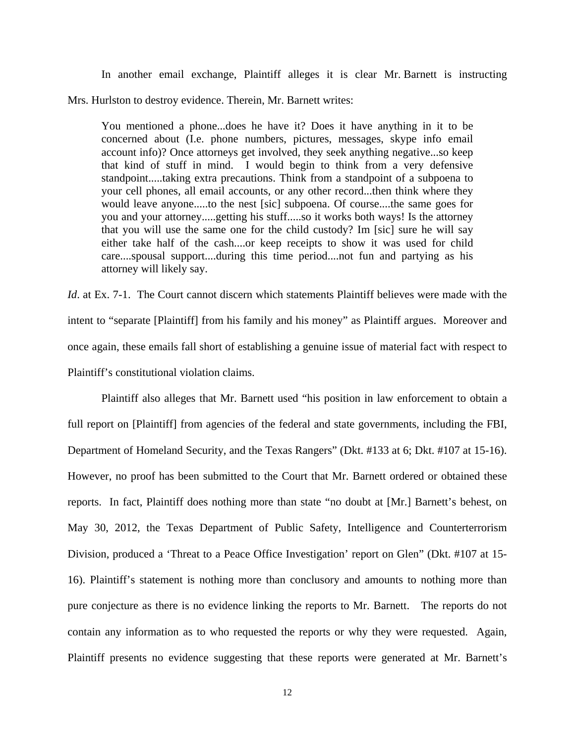In another email exchange, Plaintiff alleges it is clear Mr. Barnett is instructing

Mrs. Hurlston to destroy evidence. Therein, Mr. Barnett writes:

You mentioned a phone...does he have it? Does it have anything in it to be concerned about (I.e. phone numbers, pictures, messages, skype info email account info)? Once attorneys get involved, they seek anything negative...so keep that kind of stuff in mind. I would begin to think from a very defensive standpoint.....taking extra precautions. Think from a standpoint of a subpoena to your cell phones, all email accounts, or any other record...then think where they would leave anyone.....to the nest [sic] subpoena. Of course....the same goes for you and your attorney.....getting his stuff.....so it works both ways! Is the attorney that you will use the same one for the child custody? Im [sic] sure he will say either take half of the cash....or keep receipts to show it was used for child care....spousal support....during this time period....not fun and partying as his attorney will likely say.

*Id.* at Ex. 7-1. The Court cannot discern which statements Plaintiff believes were made with the intent to "separate [Plaintiff] from his family and his money" as Plaintiff argues. Moreover and once again, these emails fall short of establishing a genuine issue of material fact with respect to Plaintiff's constitutional violation claims.

Plaintiff also alleges that Mr. Barnett used "his position in law enforcement to obtain a full report on [Plaintiff] from agencies of the federal and state governments, including the FBI, Department of Homeland Security, and the Texas Rangers" (Dkt. #133 at 6; Dkt. #107 at 15-16). However, no proof has been submitted to the Court that Mr. Barnett ordered or obtained these reports. In fact, Plaintiff does nothing more than state "no doubt at [Mr.] Barnett's behest, on May 30, 2012, the Texas Department of Public Safety, Intelligence and Counterterrorism Division, produced a 'Threat to a Peace Office Investigation' report on Glen" (Dkt. #107 at 15- 16). Plaintiff's statement is nothing more than conclusory and amounts to nothing more than pure conjecture as there is no evidence linking the reports to Mr. Barnett. The reports do not contain any information as to who requested the reports or why they were requested. Again, Plaintiff presents no evidence suggesting that these reports were generated at Mr. Barnett's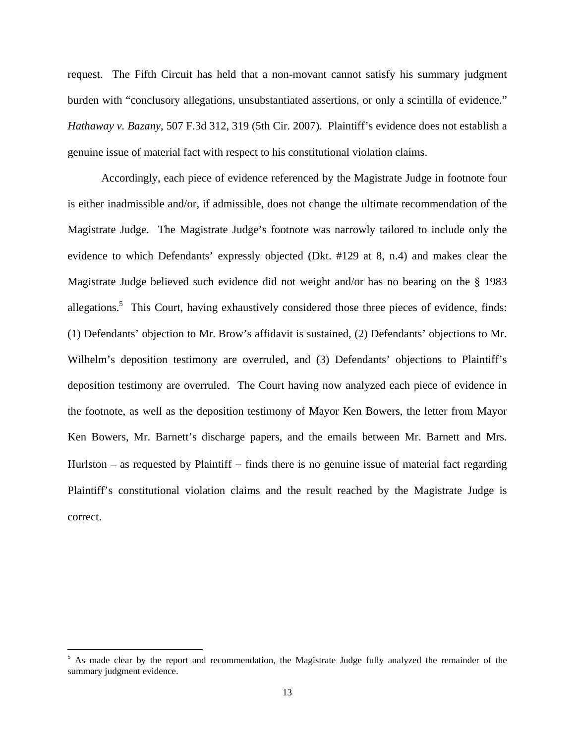request. The Fifth Circuit has held that a non-movant cannot satisfy his summary judgment burden with "conclusory allegations, unsubstantiated assertions, or only a scintilla of evidence." *Hathaway v. Bazany*, 507 F.3d 312, 319 (5th Cir. 2007). Plaintiff's evidence does not establish a genuine issue of material fact with respect to his constitutional violation claims.

Accordingly, each piece of evidence referenced by the Magistrate Judge in footnote four is either inadmissible and/or, if admissible, does not change the ultimate recommendation of the Magistrate Judge. The Magistrate Judge's footnote was narrowly tailored to include only the evidence to which Defendants' expressly objected (Dkt. #129 at 8, n.4) and makes clear the Magistrate Judge believed such evidence did not weight and/or has no bearing on the § 1983 allegations.<sup>5</sup> This Court, having exhaustively considered those three pieces of evidence, finds: (1) Defendants' objection to Mr. Brow's affidavit is sustained, (2) Defendants' objections to Mr. Wilhelm's deposition testimony are overruled, and (3) Defendants' objections to Plaintiff's deposition testimony are overruled. The Court having now analyzed each piece of evidence in the footnote, as well as the deposition testimony of Mayor Ken Bowers, the letter from Mayor Ken Bowers, Mr. Barnett's discharge papers, and the emails between Mr. Barnett and Mrs. Hurlston – as requested by Plaintiff  $-$  finds there is no genuine issue of material fact regarding Plaintiff's constitutional violation claims and the result reached by the Magistrate Judge is correct.

<sup>&</sup>lt;sup>5</sup> As made clear by the report and recommendation, the Magistrate Judge fully analyzed the remainder of the summary judgment evidence.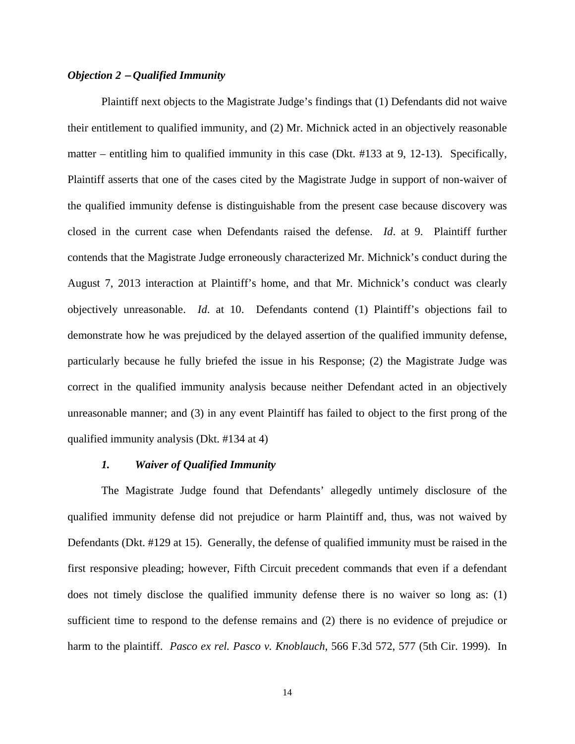## *Objection 2 – Qualified Immunity*

 Plaintiff next objects to the Magistrate Judge's findings that (1) Defendants did not waive their entitlement to qualified immunity, and (2) Mr. Michnick acted in an objectively reasonable matter – entitling him to qualified immunity in this case (Dkt. #133 at 9, 12-13). Specifically, Plaintiff asserts that one of the cases cited by the Magistrate Judge in support of non-waiver of the qualified immunity defense is distinguishable from the present case because discovery was closed in the current case when Defendants raised the defense. *Id*. at 9. Plaintiff further contends that the Magistrate Judge erroneously characterized Mr. Michnick's conduct during the August 7, 2013 interaction at Plaintiff's home, and that Mr. Michnick's conduct was clearly objectively unreasonable. *Id*. at 10. Defendants contend (1) Plaintiff's objections fail to demonstrate how he was prejudiced by the delayed assertion of the qualified immunity defense, particularly because he fully briefed the issue in his Response; (2) the Magistrate Judge was correct in the qualified immunity analysis because neither Defendant acted in an objectively unreasonable manner; and (3) in any event Plaintiff has failed to object to the first prong of the qualified immunity analysis (Dkt. #134 at 4)

## *1. Waiver of Qualified Immunity*

 The Magistrate Judge found that Defendants' allegedly untimely disclosure of the qualified immunity defense did not prejudice or harm Plaintiff and, thus, was not waived by Defendants (Dkt. #129 at 15). Generally, the defense of qualified immunity must be raised in the first responsive pleading; however, Fifth Circuit precedent commands that even if a defendant does not timely disclose the qualified immunity defense there is no waiver so long as: (1) sufficient time to respond to the defense remains and (2) there is no evidence of prejudice or harm to the plaintiff. *Pasco ex rel. Pasco v. Knoblauch*, 566 F.3d 572, 577 (5th Cir. 1999). In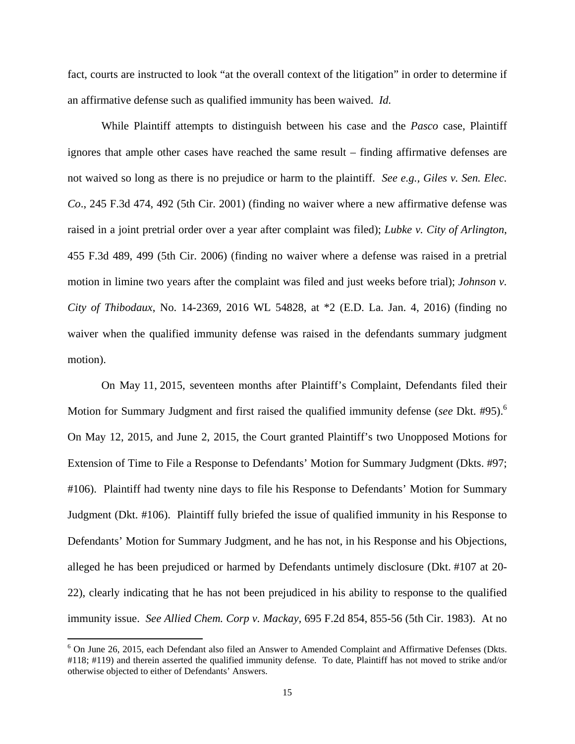fact, courts are instructed to look "at the overall context of the litigation" in order to determine if an affirmative defense such as qualified immunity has been waived. *Id.*

 While Plaintiff attempts to distinguish between his case and the *Pasco* case, Plaintiff ignores that ample other cases have reached the same result – finding affirmative defenses are not waived so long as there is no prejudice or harm to the plaintiff. *See e.g., Giles v. Sen. Elec. Co*., 245 F.3d 474, 492 (5th Cir. 2001) (finding no waiver where a new affirmative defense was raised in a joint pretrial order over a year after complaint was filed); *Lubke v. City of Arlington*, 455 F.3d 489, 499 (5th Cir. 2006) (finding no waiver where a defense was raised in a pretrial motion in limine two years after the complaint was filed and just weeks before trial); *Johnson v. City of Thibodaux*, No. 14-2369, 2016 WL 54828, at \*2 (E.D. La. Jan. 4, 2016) (finding no waiver when the qualified immunity defense was raised in the defendants summary judgment motion).

 On May 11, 2015, seventeen months after Plaintiff's Complaint, Defendants filed their Motion for Summary Judgment and first raised the qualified immunity defense (*see* Dkt. #95).<sup>6</sup> On May 12, 2015, and June 2, 2015, the Court granted Plaintiff's two Unopposed Motions for Extension of Time to File a Response to Defendants' Motion for Summary Judgment (Dkts. #97; #106). Plaintiff had twenty nine days to file his Response to Defendants' Motion for Summary Judgment (Dkt. #106). Plaintiff fully briefed the issue of qualified immunity in his Response to Defendants' Motion for Summary Judgment, and he has not, in his Response and his Objections, alleged he has been prejudiced or harmed by Defendants untimely disclosure (Dkt. #107 at 20- 22), clearly indicating that he has not been prejudiced in his ability to response to the qualified immunity issue. *See Allied Chem. Corp v. Mackay,* 695 F.2d 854, 855-56 (5th Cir. 1983). At no

<sup>&</sup>lt;sup>6</sup> On June 26, 2015, each Defendant also filed an Answer to Amended Complaint and Affirmative Defenses (Dkts. #118; #119) and therein asserted the qualified immunity defense. To date, Plaintiff has not moved to strike and/or otherwise objected to either of Defendants' Answers.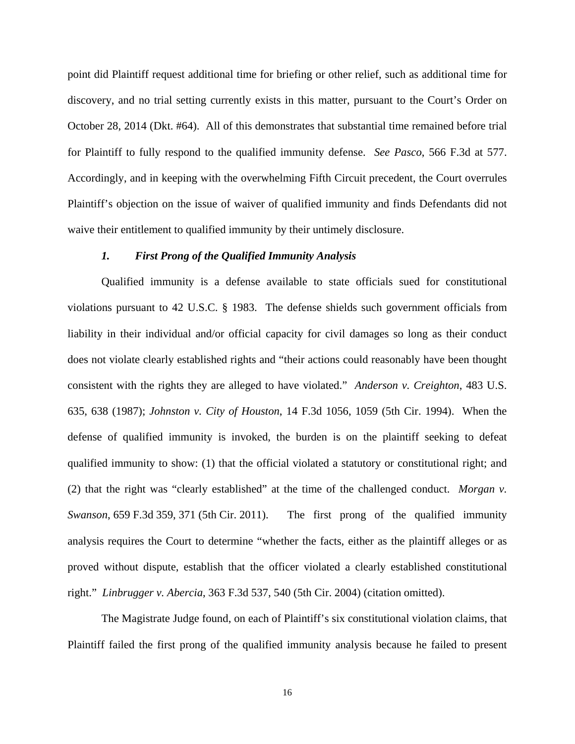point did Plaintiff request additional time for briefing or other relief, such as additional time for discovery, and no trial setting currently exists in this matter, pursuant to the Court's Order on October 28, 2014 (Dkt. #64). All of this demonstrates that substantial time remained before trial for Plaintiff to fully respond to the qualified immunity defense. *See Pasco*, 566 F.3d at 577. Accordingly, and in keeping with the overwhelming Fifth Circuit precedent, the Court overrules Plaintiff's objection on the issue of waiver of qualified immunity and finds Defendants did not waive their entitlement to qualified immunity by their untimely disclosure.

## *1. First Prong of the Qualified Immunity Analysis*

 Qualified immunity is a defense available to state officials sued for constitutional violations pursuant to 42 U.S.C. § 1983. The defense shields such government officials from liability in their individual and/or official capacity for civil damages so long as their conduct does not violate clearly established rights and "their actions could reasonably have been thought consistent with the rights they are alleged to have violated." *Anderson v. Creighton*, 483 U.S. 635, 638 (1987); *Johnston v. City of Houston*, 14 F.3d 1056, 1059 (5th Cir. 1994). When the defense of qualified immunity is invoked, the burden is on the plaintiff seeking to defeat qualified immunity to show: (1) that the official violated a statutory or constitutional right; and (2) that the right was "clearly established" at the time of the challenged conduct. *Morgan v. Swanson*, 659 F.3d 359, 371 (5th Cir. 2011). The first prong of the qualified immunity analysis requires the Court to determine "whether the facts, either as the plaintiff alleges or as proved without dispute, establish that the officer violated a clearly established constitutional right." *Linbrugger v. Abercia*, 363 F.3d 537, 540 (5th Cir. 2004) (citation omitted).

 The Magistrate Judge found, on each of Plaintiff's six constitutional violation claims, that Plaintiff failed the first prong of the qualified immunity analysis because he failed to present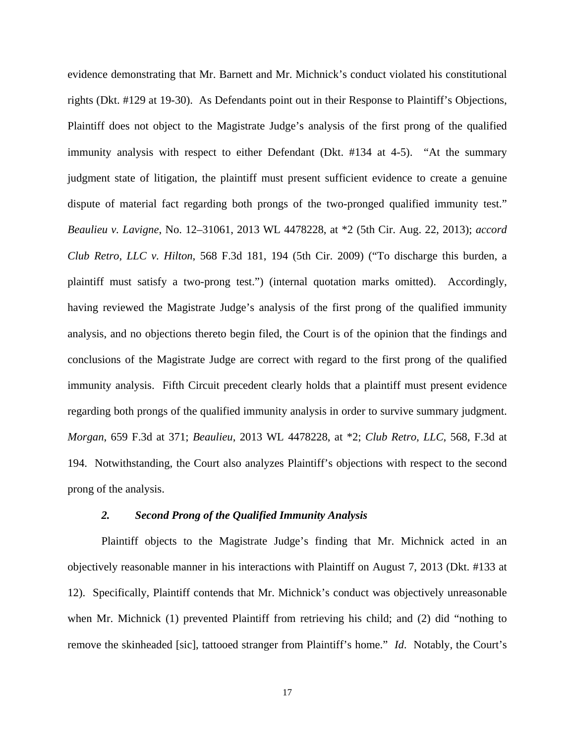evidence demonstrating that Mr. Barnett and Mr. Michnick's conduct violated his constitutional rights (Dkt. #129 at 19-30). As Defendants point out in their Response to Plaintiff's Objections, Plaintiff does not object to the Magistrate Judge's analysis of the first prong of the qualified immunity analysis with respect to either Defendant (Dkt. #134 at 4-5). "At the summary judgment state of litigation, the plaintiff must present sufficient evidence to create a genuine dispute of material fact regarding both prongs of the two-pronged qualified immunity test." *Beaulieu v. Lavigne*, No. 12–31061, 2013 WL 4478228, at \*2 (5th Cir. Aug. 22, 2013); *accord Club Retro, LLC v. Hilton*, 568 F.3d 181, 194 (5th Cir. 2009) ("To discharge this burden, a plaintiff must satisfy a two-prong test.") (internal quotation marks omitted). Accordingly, having reviewed the Magistrate Judge's analysis of the first prong of the qualified immunity analysis, and no objections thereto begin filed, the Court is of the opinion that the findings and conclusions of the Magistrate Judge are correct with regard to the first prong of the qualified immunity analysis. Fifth Circuit precedent clearly holds that a plaintiff must present evidence regarding both prongs of the qualified immunity analysis in order to survive summary judgment. *Morgan*, 659 F.3d at 371; *Beaulieu*, 2013 WL 4478228, at \*2; *Club Retro, LLC*, 568, F.3d at 194. Notwithstanding, the Court also analyzes Plaintiff's objections with respect to the second prong of the analysis.

## *2. Second Prong of the Qualified Immunity Analysis*

 Plaintiff objects to the Magistrate Judge's finding that Mr. Michnick acted in an objectively reasonable manner in his interactions with Plaintiff on August 7, 2013 (Dkt. #133 at 12). Specifically, Plaintiff contends that Mr. Michnick's conduct was objectively unreasonable when Mr. Michnick (1) prevented Plaintiff from retrieving his child; and (2) did "nothing to remove the skinheaded [sic], tattooed stranger from Plaintiff's home." *Id*. Notably, the Court's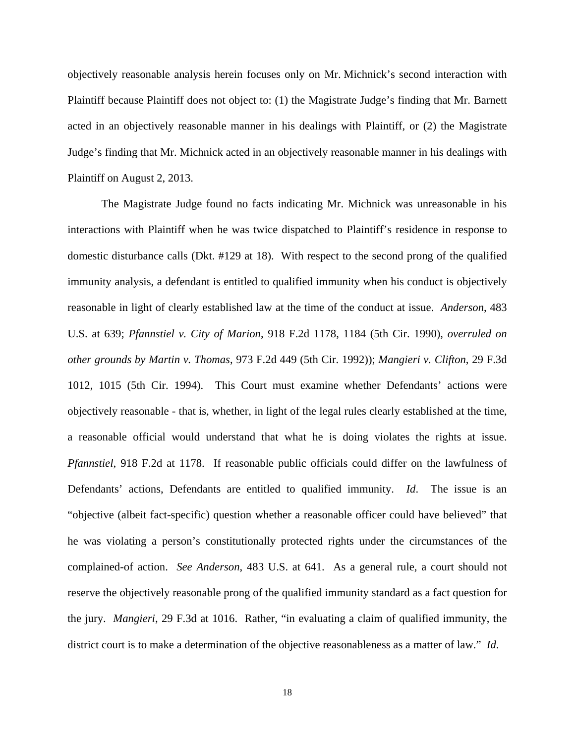objectively reasonable analysis herein focuses only on Mr. Michnick's second interaction with Plaintiff because Plaintiff does not object to: (1) the Magistrate Judge's finding that Mr. Barnett acted in an objectively reasonable manner in his dealings with Plaintiff, or (2) the Magistrate Judge's finding that Mr. Michnick acted in an objectively reasonable manner in his dealings with Plaintiff on August 2, 2013.

 The Magistrate Judge found no facts indicating Mr. Michnick was unreasonable in his interactions with Plaintiff when he was twice dispatched to Plaintiff's residence in response to domestic disturbance calls (Dkt. #129 at 18). With respect to the second prong of the qualified immunity analysis, a defendant is entitled to qualified immunity when his conduct is objectively reasonable in light of clearly established law at the time of the conduct at issue. *Anderson*, 483 U.S. at 639; *Pfannstiel v. City of Marion*, 918 F.2d 1178, 1184 (5th Cir. 1990), *overruled on other grounds by Martin v. Thomas*, 973 F.2d 449 (5th Cir. 1992)); *Mangieri v. Clifton*, 29 F.3d 1012, 1015 (5th Cir. 1994). This Court must examine whether Defendants' actions were objectively reasonable - that is, whether, in light of the legal rules clearly established at the time, a reasonable official would understand that what he is doing violates the rights at issue. *Pfannstiel*, 918 F.2d at 1178. If reasonable public officials could differ on the lawfulness of Defendants' actions, Defendants are entitled to qualified immunity. *Id*. The issue is an "objective (albeit fact-specific) question whether a reasonable officer could have believed" that he was violating a person's constitutionally protected rights under the circumstances of the complained-of action. *See Anderson*, 483 U.S. at 641. As a general rule, a court should not reserve the objectively reasonable prong of the qualified immunity standard as a fact question for the jury. *Mangieri*, 29 F.3d at 1016. Rather, "in evaluating a claim of qualified immunity, the district court is to make a determination of the objective reasonableness as a matter of law." *Id*.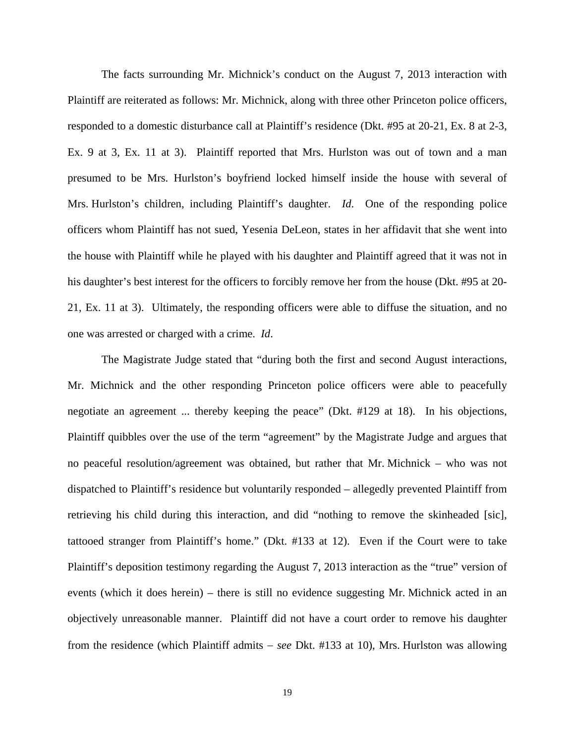The facts surrounding Mr. Michnick's conduct on the August 7, 2013 interaction with Plaintiff are reiterated as follows: Mr. Michnick, along with three other Princeton police officers, responded to a domestic disturbance call at Plaintiff's residence (Dkt. #95 at 20-21, Ex. 8 at 2-3, Ex. 9 at 3, Ex. 11 at 3). Plaintiff reported that Mrs. Hurlston was out of town and a man presumed to be Mrs. Hurlston's boyfriend locked himself inside the house with several of Mrs. Hurlston's children, including Plaintiff's daughter. *Id*. One of the responding police officers whom Plaintiff has not sued, Yesenia DeLeon, states in her affidavit that she went into the house with Plaintiff while he played with his daughter and Plaintiff agreed that it was not in his daughter's best interest for the officers to forcibly remove her from the house (Dkt. #95 at 20- 21, Ex. 11 at 3). Ultimately, the responding officers were able to diffuse the situation, and no one was arrested or charged with a crime. *Id*.

The Magistrate Judge stated that "during both the first and second August interactions, Mr. Michnick and the other responding Princeton police officers were able to peacefully negotiate an agreement ... thereby keeping the peace" (Dkt. #129 at 18). In his objections, Plaintiff quibbles over the use of the term "agreement" by the Magistrate Judge and argues that no peaceful resolution/agreement was obtained, but rather that Mr. Michnick – who was not dispatched to Plaintiff's residence but voluntarily responded – allegedly prevented Plaintiff from retrieving his child during this interaction, and did "nothing to remove the skinheaded [sic], tattooed stranger from Plaintiff's home." (Dkt. #133 at 12). Even if the Court were to take Plaintiff's deposition testimony regarding the August 7, 2013 interaction as the "true" version of events (which it does herein) – there is still no evidence suggesting Mr. Michnick acted in an objectively unreasonable manner. Plaintiff did not have a court order to remove his daughter from the residence (which Plaintiff admits *see* Dkt. #133 at 10), Mrs. Hurlston was allowing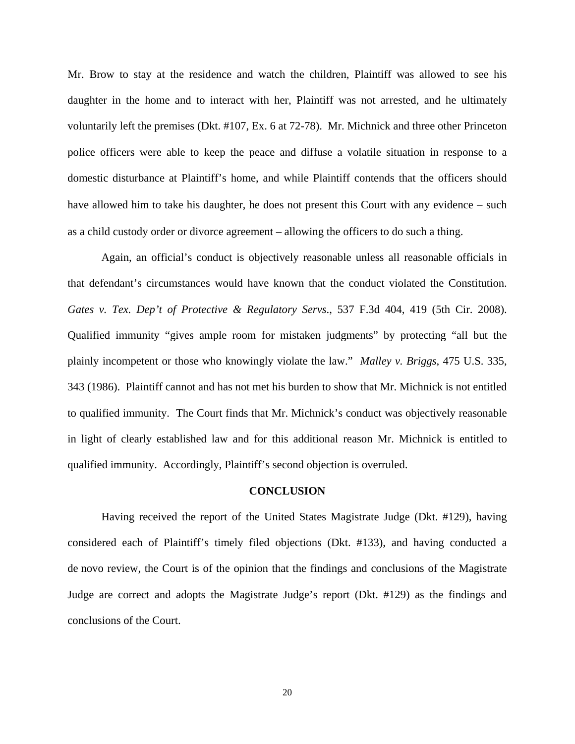Mr. Brow to stay at the residence and watch the children, Plaintiff was allowed to see his daughter in the home and to interact with her, Plaintiff was not arrested, and he ultimately voluntarily left the premises (Dkt. #107, Ex. 6 at 72-78). Mr. Michnick and three other Princeton police officers were able to keep the peace and diffuse a volatile situation in response to a domestic disturbance at Plaintiff's home, and while Plaintiff contends that the officers should have allowed him to take his daughter, he does not present this Court with any evidence  $-$  such as a child custody order or divorce agreement – allowing the officers to do such a thing.

Again, an official's conduct is objectively reasonable unless all reasonable officials in that defendant's circumstances would have known that the conduct violated the Constitution. *Gates v. Tex. Dep't of Protective & Regulatory Servs*., 537 F.3d 404, 419 (5th Cir. 2008). Qualified immunity "gives ample room for mistaken judgments" by protecting "all but the plainly incompetent or those who knowingly violate the law." *Malley v. Briggs*, 475 U.S. 335, 343 (1986). Plaintiff cannot and has not met his burden to show that Mr. Michnick is not entitled to qualified immunity. The Court finds that Mr. Michnick's conduct was objectively reasonable in light of clearly established law and for this additional reason Mr. Michnick is entitled to qualified immunity. Accordingly, Plaintiff's second objection is overruled.

## **CONCLUSION**

 Having received the report of the United States Magistrate Judge (Dkt. #129), having considered each of Plaintiff's timely filed objections (Dkt. #133), and having conducted a de novo review, the Court is of the opinion that the findings and conclusions of the Magistrate Judge are correct and adopts the Magistrate Judge's report (Dkt. #129) as the findings and conclusions of the Court.